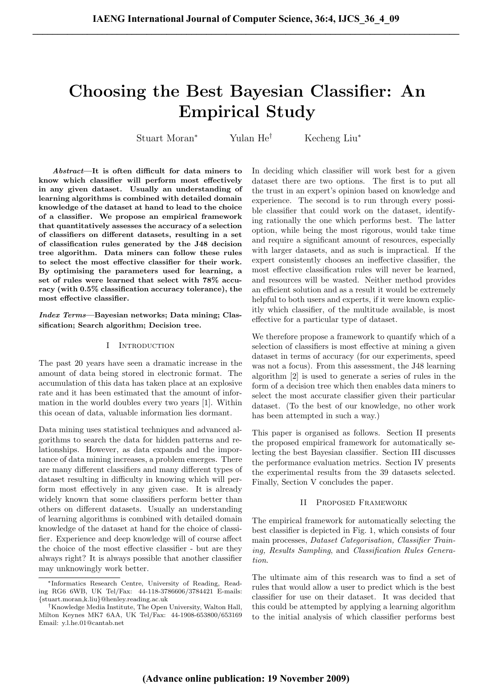# Choosing the Best Bayesian Classifier: An Empirical Study

Stuart Moran<sup>∗</sup> Yulan He† Kecheng Liu<sup>∗</sup>

Abstract—It is often difficult for data miners to know which classifier will perform most effectively in any given dataset. Usually an understanding of learning algorithms is combined with detailed domain knowledge of the dataset at hand to lead to the choice of a classifier. We propose an empirical framework that quantitatively assesses the accuracy of a selection of classifiers on different datasets, resulting in a set of classification rules generated by the J48 decision tree algorithm. Data miners can follow these rules to select the most effective classifier for their work. By optimising the parameters used for learning, a set of rules were learned that select with 78% accuracy (with 0.5% classification accuracy tolerance), the most effective classifier.

Index Terms—Bayesian networks; Data mining; Classification; Search algorithm; Decision tree.

#### I INTRODUCTION

The past 20 years have seen a dramatic increase in the amount of data being stored in electronic format. The accumulation of this data has taken place at an explosive rate and it has been estimated that the amount of information in the world doubles every two years [1]. Within this ocean of data, valuable information lies dormant.

Data mining uses statistical techniques and advanced algorithms to search the data for hidden patterns and relationships. However, as data expands and the importance of data mining increases, a problem emerges. There are many different classifiers and many different types of dataset resulting in difficulty in knowing which will perform most effectively in any given case. It is already widely known that some classifiers perform better than others on different datasets. Usually an understanding of learning algorithms is combined with detailed domain knowledge of the dataset at hand for the choice of classifier. Experience and deep knowledge will of course affect the choice of the most effective classifier - but are they always right? It is always possible that another classifier may unknowingly work better.

In deciding which classifier will work best for a given dataset there are two options. The first is to put all the trust in an expert's opinion based on knowledge and experience. The second is to run through every possible classifier that could work on the dataset, identifying rationally the one which performs best. The latter option, while being the most rigorous, would take time and require a significant amount of resources, especially with larger datasets, and as such is impractical. If the expert consistently chooses an ineffective classifier, the most effective classification rules will never be learned, and resources will be wasted. Neither method provides an efficient solution and as a result it would be extremely helpful to both users and experts, if it were known explicitly which classifier, of the multitude available, is most effective for a particular type of dataset.

We therefore propose a framework to quantify which of a selection of classifiers is most effective at mining a given dataset in terms of accuracy (for our experiments, speed was not a focus). From this assessment, the J48 learning algorithm [2] is used to generate a series of rules in the form of a decision tree which then enables data miners to select the most accurate classifier given their particular dataset. (To the best of our knowledge, no other work has been attempted in such a way.)

This paper is organised as follows. Section II presents the proposed empirical framework for automatically selecting the best Bayesian classifier. Section III discusses the performance evaluation metrics. Section IV presents the experimental results from the 39 datasets selected. Finally, Section V concludes the paper.

### II Proposed Framework

The empirical framework for automatically selecting the best classifier is depicted in Fig. 1, which consists of four main processes, Dataset Categorisation, Classifier Training, Results Sampling, and Classification Rules Generation.

The ultimate aim of this research was to find a set of rules that would allow a user to predict which is the best classifier for use on their dataset. It was decided that this could be attempted by applying a learning algorithm to the initial analysis of which classifier performs best

<sup>∗</sup>Informatics Research Centre, University of Reading, Reading RG6 6WB, UK Tel/Fax: 44-118-3786606/3784421 E-mails: {stuart.moran,k.liu}@henley.reading.ac.uk

<sup>†</sup>Knowledge Media Institute, The Open University, Walton Hall, Milton Keynes MK7 6AA, UK Tel/Fax: 44-1908-653800/653169 Email: y.l.he.01@cantab.net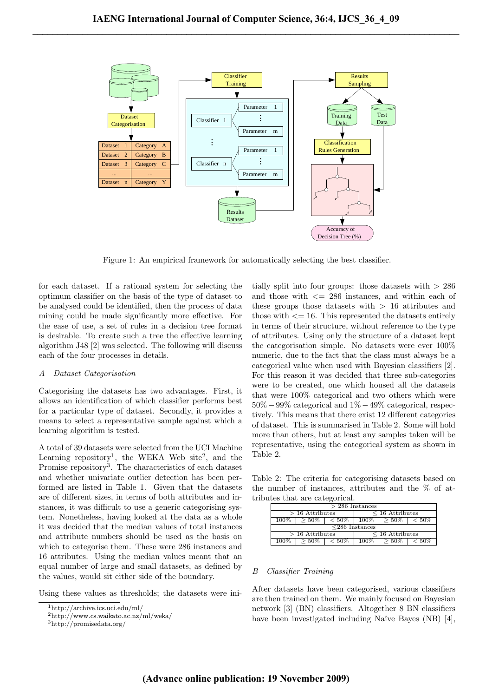

Figure 1: An empirical framework for automatically selecting the best classifier.

for each dataset. If a rational system for selecting the optimum classifier on the basis of the type of dataset to be analysed could be identified, then the process of data mining could be made significantly more effective. For the ease of use, a set of rules in a decision tree format is desirable. To create such a tree the effective learning algorithm J48 [2] was selected. The following will discuss each of the four processes in details.

#### A Dataset Categorisation

Categorising the datasets has two advantages. First, it allows an identification of which classifier performs best for a particular type of dataset. Secondly, it provides a means to select a representative sample against which a learning algorithm is tested.

A total of 39 datasets were selected from the UCI Machine Learning repository<sup>1</sup>, the WEKA Web site<sup>2</sup>, and the Promise repository<sup>3</sup>. The characteristics of each dataset and whether univariate outlier detection has been performed are listed in Table 1. Given that the datasets are of different sizes, in terms of both attributes and instances, it was difficult to use a generic categorising system. Nonetheless, having looked at the data as a whole it was decided that the median values of total instances and attribute numbers should be used as the basis on which to categorise them. These were 286 instances and 16 attributes. Using the median values meant that an equal number of large and small datasets, as defined by the values, would sit either side of the boundary.

Using these values as thresholds; the datasets were ini-

tially split into four groups: those datasets with  $> 286$ and those with  $\leq$  286 instances, and within each of these groups those datasets with  $> 16$  attributes and those with  $\epsilon = 16$ . This represented the datasets entirely in terms of their structure, without reference to the type of attributes. Using only the structure of a dataset kept the categorisation simple. No datasets were ever 100% numeric, due to the fact that the class must always be a categorical value when used with Bayesian classifiers [2]. For this reason it was decided that three sub-categories were to be created, one which housed all the datasets that were 100% categorical and two others which were 50% −99% categorical and 1% −49% categorical, respectively. This means that there exist 12 different categories of dataset. This is summarised in Table 2. Some will hold more than others, but at least any samples taken will be representative, using the categorical system as shown in Table 2.

Table 2: The criteria for categorising datasets based on the number of instances, attributes and the % of attributes that are categorical.

| $>$ 286 Instances    |                    |          |                      |          |          |  |  |
|----------------------|--------------------|----------|----------------------|----------|----------|--|--|
| $>16$ Attributes     |                    |          | $\leq$ 16 Attributes |          |          |  |  |
| $> 50\%$<br>$100\%$  | $\overline{<}50\%$ | $100\%$  | $>50\%$              | $< 50\%$ |          |  |  |
| $\leq$ 286 Instances |                    |          |                      |          |          |  |  |
| $>16$ Attributes     |                    |          | $\leq$ 16 Attributes |          |          |  |  |
| $100\%$              | $>50\%$            | $< 50\%$ | $100\%$              | .50%     | $< 50\%$ |  |  |

# B Classifier Training

After datasets have been categorised, various classifiers are then trained on them. We mainly focused on Bayesian network [3] (BN) classifiers. Altogether 8 BN classifiers have been investigated including Naïve Bayes (NB) [4],

<sup>1</sup>http://archive.ics.uci.edu/ml/

<sup>2</sup>http://www.cs.waikato.ac.nz/ml/weka/

 $^3{\rm http://promisedata.org/}$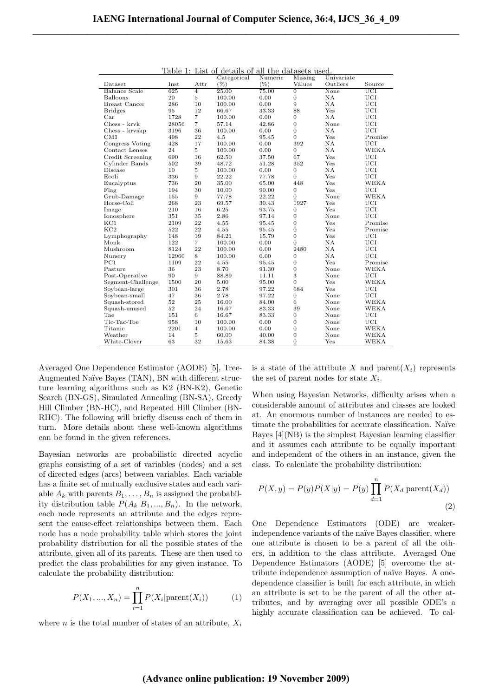| ⊥ແບ⊥ບ<br><b>.</b><br>Last of actains of all the datasets used.<br>Univariate<br>Categorical<br>Numeric<br>Missing |       |                |                    |         |                  |           |             |
|-------------------------------------------------------------------------------------------------------------------|-------|----------------|--------------------|---------|------------------|-----------|-------------|
| Dataset                                                                                                           | Inst  | Attr           | $(\%)$             | $(\% )$ | Values           | Outliers  | Source      |
| <b>Balance Scale</b>                                                                                              | 625   | $\overline{4}$ | $\overline{25.00}$ | 75.00   | $\overline{0}$   | None      | UCI         |
| Balloons                                                                                                          | 20    | $\overline{5}$ | 100.00             | 0.00    | $\mathbf{0}$     | <b>NA</b> | UCI         |
| <b>Breast Cancer</b>                                                                                              | 286   | 10             | 100.00             | 0.00    | 9                | <b>NA</b> | <b>UCI</b>  |
| <b>Bridges</b>                                                                                                    | 95    | 12             | 66.67              | 33.33   | 88               | Yes       | <b>UCI</b>  |
| Car                                                                                                               | 1728  | 7              | 100.00             | 0.00    | $\overline{0}$   | <b>NA</b> | <b>UCI</b>  |
| Chess - kryk                                                                                                      | 28056 | $\overline{7}$ | 57.14              | 42.86   | $\overline{0}$   | None      | <b>UCI</b>  |
| Chess - kryskp                                                                                                    | 3196  | 36             | 100.00             | 0.00    | $\boldsymbol{0}$ | NA        | <b>UCI</b>  |
| CM1                                                                                                               | 498   | 22             | 4.5                | 95.45   | $\overline{0}$   | Yes       | Promise     |
| Congress Voting                                                                                                   | 428   | 17             | 100.00             | 0.00    | 392              | <b>NA</b> | <b>UCI</b>  |
| Contact Lenses                                                                                                    | 24    | 5              | 100.00             | 0.00    | $\overline{0}$   | NA        | WEKA        |
| Credit Screening                                                                                                  | 690   | 16             | 62.50              | 37.50   | 67               | Yes       | <b>UCI</b>  |
| Cylinder Bands                                                                                                    | 502   | 39             | 48.72              | 51.28   | 352              | Yes       | <b>UCI</b>  |
| Disease                                                                                                           | 10    | $\overline{5}$ | 100.00             | 0.00    | $\overline{0}$   | <b>NA</b> | UCI         |
| Ecoli                                                                                                             | 336   | 9              | 22.22              | 77.78   | $\overline{0}$   | Yes       | <b>UCI</b>  |
| Eucalyptus                                                                                                        | 736   | 20             | 35.00              | 65.00   | 448              | Yes       | <b>WEKA</b> |
| Flag                                                                                                              | 194   | 30             | 10.00              | 90.00   | $\overline{0}$   | Yes       | <b>UCI</b>  |
| Grub-Damage                                                                                                       | 155   | 9              | 77.78              | 22.22   | $\overline{0}$   | None      | <b>WEKA</b> |
| Horse-Coli                                                                                                        | 268   | 23             | 69.57              | 30.43   | 1927             | Yes       | <b>UCI</b>  |
| Image                                                                                                             | 210   | 16             | 6.25               | 93.75   | $\overline{0}$   | Yes       | <b>UCI</b>  |
| Ionosphere                                                                                                        | 351   | 35             | 2.86               | 97.14   | $\overline{0}$   | None      | <b>UCI</b>  |
| $_{\rm KC1}$                                                                                                      | 2109  | 22             | 4.55               | 95.45   | $\theta$         | Yes       | Promise     |
| KC2                                                                                                               | 522   | 22             | 4.55               | 95.45   | $\boldsymbol{0}$ | Yes       | Promise     |
| Lymphography                                                                                                      | 148   | 19             | 84.21              | 15.79   | $\overline{0}$   | Yes       | <b>UCI</b>  |
| Monk                                                                                                              | 122   | $\overline{7}$ | 100.00             | 0.00    | $\Omega$         | NA        | <b>UCI</b>  |
| Mushroom                                                                                                          | 8124  | 22             | 100.00             | 0.00    | 2480             | <b>NA</b> | <b>UCI</b>  |
| Nursery                                                                                                           | 12960 | 8              | 100.00             | 0.00    | $\mathbf{0}$     | NA        | <b>UCI</b>  |
| PC1                                                                                                               | 1109  | 22             | 4.55               | 95.45   | $\mathbf{0}$     | Yes       | Promise     |
| Pasture                                                                                                           | 36    | 23             | 8.70               | 91.30   | $\boldsymbol{0}$ | None      | <b>WEKA</b> |
| Post-Operative                                                                                                    | 90    | 9              | 88.89              | 11.11   | 3                | None      | <b>UCI</b>  |
| Segment-Challenge                                                                                                 | 1500  | 20             | 5.00               | 95.00   | $\overline{0}$   | Yes       | <b>WEKA</b> |
| Soybean-large                                                                                                     | 301   | 36             | 2.78               | 97.22   | 684              | Yes       | <b>UCI</b>  |
| Soybean-small                                                                                                     | 47    | 36             | 2.78               | 97.22   | $\overline{0}$   | None      | UCI         |
| Squash-stored                                                                                                     | 52    | 25             | 16.00              | 84.00   | 6                | None      | <b>WEKA</b> |
| Squash-unused                                                                                                     | 52    | 24             | 16.67              | 83.33   | 39               | None      | <b>WEKA</b> |
| Tae                                                                                                               | 151   | 6              | 16.67              | 83.33   | $\overline{0}$   | None      | <b>UCI</b>  |
| Tic-Tac-Toe                                                                                                       | 958   | 10             | 100.00             | 0.00    | $\overline{0}$   | None      | <b>UCI</b>  |
| Titanic                                                                                                           | 2201  | $\overline{4}$ | 100.00             | 0.00    | $\overline{0}$   | None      | <b>WEKA</b> |
| Weather                                                                                                           | 14    | 5              | 60.00              | 40.00   | $\overline{0}$   | None      | <b>WEKA</b> |
| White-Clover                                                                                                      | 63    | 32             | 15.63              | 84.38   | $\Omega$         | Yes       | <b>WEKA</b> |

Table 1: List of details of all the datasets used.

Averaged One Dependence Estimator (AODE) [5], Tree-Augmented Naïve Bayes (TAN), BN with different structure learning algorithms such as K2 (BN-K2), Genetic Search (BN-GS), Simulated Annealing (BN-SA), Greedy Hill Climber (BN-HC), and Repeated Hill Climber (BN-RHC). The following will briefly discuss each of them in turn. More details about these well-known algorithms can be found in the given references.

Bayesian networks are probabilistic directed acyclic graphs consisting of a set of variables (nodes) and a set of directed edges (arcs) between variables. Each variable has a finite set of mutually exclusive states and each variable  $A_k$  with parents  $B_1, \ldots, B_n$  is assigned the probability distribution table  $P(A_k|B_1, ..., B_n)$ . In the network, each node represents an attribute and the edges represent the cause-effect relationships between them. Each node has a node probability table which stores the joint probability distribution for all the possible states of the attribute, given all of its parents. These are then used to predict the class probabilities for any given instance. To calculate the probability distribution:

$$
P(X_1, ..., X_n) = \prod_{i=1}^{n} P(X_i | \text{parent}(X_i))
$$
 (1)

where *n* is the total number of states of an attribute,  $X_i$ 

is a state of the attribute X and parent $(X_i)$  represents the set of parent nodes for state  $X_i$ .

When using Bayesian Networks, difficulty arises when a considerable amount of attributes and classes are looked at. An enormous number of instances are needed to estimate the probabilities for accurate classification. Naïve Bayes [4](NB) is the simplest Bayesian learning classifier and it assumes each attribute to be equally important and independent of the others in an instance, given the class. To calculate the probability distribution:

$$
P(X, y) = P(y)P(X|y) = P(y)\prod_{d=1}^{n} P(X_d|\text{parent}(X_d))
$$
\n(2)

One Dependence Estimators (ODE) are weakerindependence variants of the naïve Bayes classifier, where one attribute is chosen to be a parent of all the others, in addition to the class attribute. Averaged One Dependence Estimators (AODE) [5] overcome the attribute independence assumption of naïve Bayes. A onedependence classifier is built for each attribute, in which an attribute is set to be the parent of all the other attributes, and by averaging over all possible ODE's a highly accurate classification can be achieved. To cal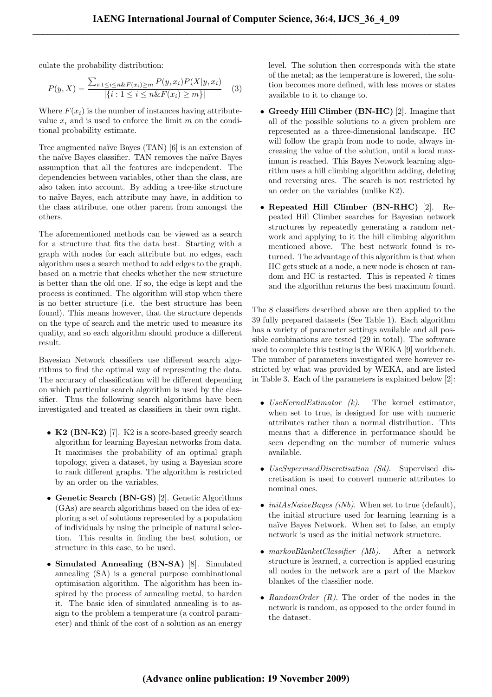culate the probability distribution:

$$
P(y, X) = \frac{\sum_{i:1 \le i \le n \& F(x_i) \ge m} P(y, x_i) P(X|y, x_i)}{|\{i: 1 \le i \le n \& F(x_i) \ge m\}|}
$$
(3)

Where  $F(x_i)$  is the number of instances having attributevalue  $x_i$  and is used to enforce the limit m on the conditional probability estimate.

Tree augmented naïve Bayes (TAN) [6] is an extension of the naïve Bayes classifier. TAN removes the naïve Bayes assumption that all the features are independent. The dependencies between variables, other than the class, are also taken into account. By adding a tree-like structure to na¨ıve Bayes, each attribute may have, in addition to the class attribute, one other parent from amongst the others.

The aforementioned methods can be viewed as a search for a structure that fits the data best. Starting with a graph with nodes for each attribute but no edges, each algorithm uses a search method to add edges to the graph, based on a metric that checks whether the new structure is better than the old one. If so, the edge is kept and the process is continued. The algorithm will stop when there is no better structure (i.e. the best structure has been found). This means however, that the structure depends on the type of search and the metric used to measure its quality, and so each algorithm should produce a different result.

Bayesian Network classifiers use different search algorithms to find the optimal way of representing the data. The accuracy of classification will be different depending on which particular search algorithm is used by the classifier. Thus the following search algorithms have been investigated and treated as classifiers in their own right.

- K2 (BN-K2) [7]. K2 is a score-based greedy search algorithm for learning Bayesian networks from data. It maximises the probability of an optimal graph topology, given a dataset, by using a Bayesian score to rank different graphs. The algorithm is restricted by an order on the variables.
- Genetic Search (BN-GS) [2]. Genetic Algorithms (GAs) are search algorithms based on the idea of exploring a set of solutions represented by a population of individuals by using the principle of natural selection. This results in finding the best solution, or structure in this case, to be used.
- Simulated Annealing (BN-SA) [8]. Simulated annealing (SA) is a general purpose combinational optimisation algorithm. The algorithm has been inspired by the process of annealing metal, to harden it. The basic idea of simulated annealing is to assign to the problem a temperature (a control parameter) and think of the cost of a solution as an energy

level. The solution then corresponds with the state of the metal; as the temperature is lowered, the solution becomes more defined, with less moves or states available to it to change to.

- Greedy Hill Climber (BN-HC) [2]. Imagine that all of the possible solutions to a given problem are represented as a three-dimensional landscape. HC will follow the graph from node to node, always increasing the value of the solution, until a local maximum is reached. This Bayes Network learning algorithm uses a hill climbing algorithm adding, deleting and reversing arcs. The search is not restricted by an order on the variables (unlike K2).
- Repeated Hill Climber (BN-RHC) [2]. Repeated Hill Climber searches for Bayesian network structures by repeatedly generating a random network and applying to it the hill climbing algorithm mentioned above. The best network found is returned. The advantage of this algorithm is that when HC gets stuck at a node, a new node is chosen at random and HC is restarted. This is repeated  $k$  times and the algorithm returns the best maximum found.

The 8 classifiers described above are then applied to the 39 fully prepared datasets (See Table 1). Each algorithm has a variety of parameter settings available and all possible combinations are tested (29 in total). The software used to complete this testing is the WEKA [9] workbench. The number of parameters investigated were however restricted by what was provided by WEKA, and are listed in Table 3. Each of the parameters is explained below [2]:

- $Use KernelEstimator (k).$  The kernel estimator, when set to true, is designed for use with numeric attributes rather than a normal distribution. This means that a difference in performance should be seen depending on the number of numeric values available.
- UseSupervisedDiscretisation (Sd). Supervised discretisation is used to convert numeric attributes to nominal ones.
- $initAsNaiveBayes (iNb)$ . When set to true (default), the initial structure used for learning learning is a na¨ıve Bayes Network. When set to false, an empty network is used as the initial network structure.
- markovBlanketClassifier (Mb). After a network structure is learned, a correction is applied ensuring all nodes in the network are a part of the Markov blanket of the classifier node.
- RandomOrder  $(R)$ . The order of the nodes in the network is random, as opposed to the order found in the dataset.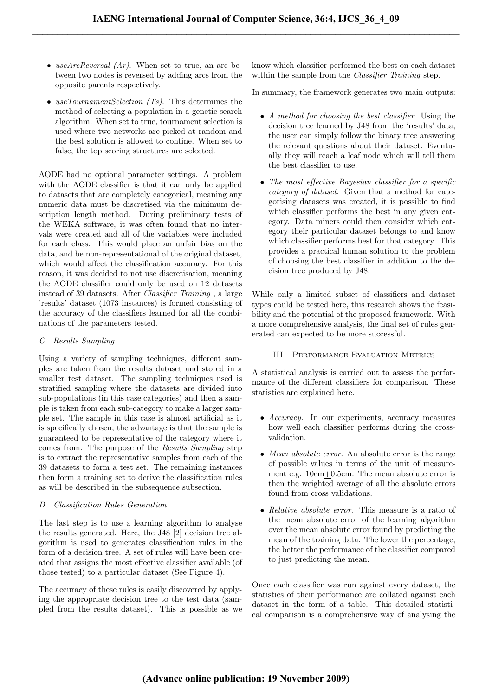- useArcReversal  $(Ar)$ . When set to true, an arc between two nodes is reversed by adding arcs from the opposite parents respectively.
- useTournamentSelection  $(Ts)$ . This determines the method of selecting a population in a genetic search algorithm. When set to true, tournament selection is used where two networks are picked at random and the best solution is allowed to contine. When set to false, the top scoring structures are selected.

AODE had no optional parameter settings. A problem with the AODE classifier is that it can only be applied to datasets that are completely categorical, meaning any numeric data must be discretised via the minimum description length method. During preliminary tests of the WEKA software, it was often found that no intervals were created and all of the variables were included for each class. This would place an unfair bias on the data, and be non-representational of the original dataset, which would affect the classification accuracy. For this reason, it was decided to not use discretisation, meaning the AODE classifier could only be used on 12 datasets instead of 39 datasets. After Classifier Training , a large 'results' dataset (1073 instances) is formed consisting of the accuracy of the classifiers learned for all the combinations of the parameters tested.

# C Results Sampling

Using a variety of sampling techniques, different samples are taken from the results dataset and stored in a smaller test dataset. The sampling techniques used is stratified sampling where the datasets are divided into sub-populations (in this case categories) and then a sample is taken from each sub-category to make a larger sample set. The sample in this case is almost artificial as it is specifically chosen; the advantage is that the sample is guaranteed to be representative of the category where it comes from. The purpose of the Results Sampling step is to extract the representative samples from each of the 39 datasets to form a test set. The remaining instances then form a training set to derive the classification rules as will be described in the subsequence subsection.

# D Classification Rules Generation

The last step is to use a learning algorithm to analyse the results generated. Here, the J48 [2] decision tree algorithm is used to generates classification rules in the form of a decision tree. A set of rules will have been created that assigns the most effective classifier available (of those tested) to a particular dataset (See Figure 4).

The accuracy of these rules is easily discovered by applying the appropriate decision tree to the test data (sampled from the results dataset). This is possible as we know which classifier performed the best on each dataset within the sample from the *Classifier Training* step.

In summary, the framework generates two main outputs:

- A method for choosing the best classifier. Using the decision tree learned by J48 from the 'results' data, the user can simply follow the binary tree answering the relevant questions about their dataset. Eventually they will reach a leaf node which will tell them the best classifier to use.
- The most effective Bayesian classifier for a specific category of dataset. Given that a method for categorising datasets was created, it is possible to find which classifier performs the best in any given category. Data miners could then consider which category their particular dataset belongs to and know which classifier performs best for that category. This provides a practical human solution to the problem of choosing the best classifier in addition to the decision tree produced by J48.

While only a limited subset of classifiers and dataset types could be tested here, this research shows the feasibility and the potential of the proposed framework. With a more comprehensive analysis, the final set of rules generated can expected to be more successful.

## III Performance Evaluation Metrics

A statistical analysis is carried out to assess the performance of the different classifiers for comparison. These statistics are explained here.

- Accuracy. In our experiments, accuracy measures how well each classifier performs during the crossvalidation.
- Mean absolute error. An absolute error is the range of possible values in terms of the unit of measurement e.g. 10cm+0.5cm. The mean absolute error is then the weighted average of all the absolute errors found from cross validations.
- Relative absolute error. This measure is a ratio of the mean absolute error of the learning algorithm over the mean absolute error found by predicting the mean of the training data. The lower the percentage, the better the performance of the classifier compared to just predicting the mean.

Once each classifier was run against every dataset, the statistics of their performance are collated against each dataset in the form of a table. This detailed statistical comparison is a comprehensive way of analysing the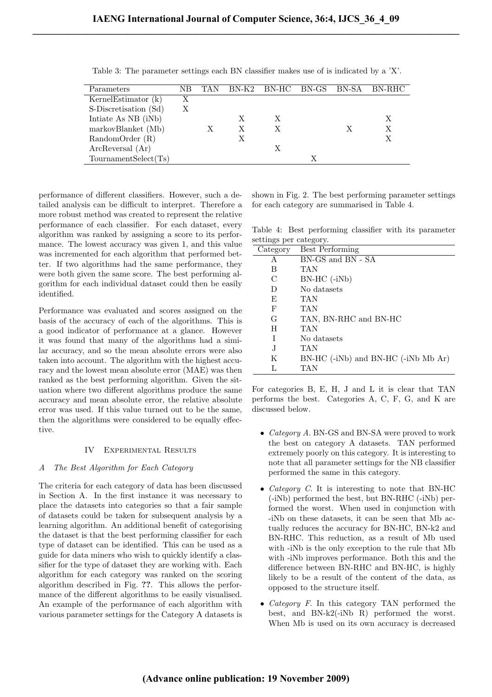| Parameters             | ΝR | <b>TAN</b> |   |   |  | BN-K2 BN-HC BN-GS BN-SA BN-RHC |
|------------------------|----|------------|---|---|--|--------------------------------|
| Kernel Estimator $(k)$ | Х  |            |   |   |  |                                |
| S-Discretisation (Sd)  |    |            |   |   |  |                                |
| Intiate As NB (iNb)    |    |            | X | X |  | X                              |
| markovBlanket (Mb)     |    |            | X | X |  | Х                              |
| RandomOrder(R)         |    |            | Х |   |  | Х                              |
| ArcReversal (Ar)       |    |            |   | Х |  |                                |
| TournamentSelect(Ts)   |    |            |   |   |  |                                |

L.

Table 3: The parameter settings each BN classifier makes use of is indicated by a 'X'.

performance of different classifiers. However, such a detailed analysis can be difficult to interpret. Therefore a more robust method was created to represent the relative performance of each classifier. For each dataset, every algorithm was ranked by assigning a score to its performance. The lowest accuracy was given 1, and this value was incremented for each algorithm that performed better. If two algorithms had the same performance, they were both given the same score. The best performing algorithm for each individual dataset could then be easily identified.

Performance was evaluated and scores assigned on the basis of the accuracy of each of the algorithms. This is a good indicator of performance at a glance. However it was found that many of the algorithms had a similar accuracy, and so the mean absolute errors were also taken into account. The algorithm with the highest accuracy and the lowest mean absolute error (MAE) was then ranked as the best performing algorithm. Given the situation where two different algorithms produce the same accuracy and mean absolute error, the relative absolute error was used. If this value turned out to be the same, then the algorithms were considered to be equally effective.

## IV Experimental Results

# A The Best Algorithm for Each Category

The criteria for each category of data has been discussed in Section A. In the first instance it was necessary to place the datasets into categories so that a fair sample of datasets could be taken for subsequent analysis by a learning algorithm. An additional benefit of categorising the dataset is that the best performing classifier for each type of dataset can be identified. This can be used as a guide for data miners who wish to quickly identify a classifier for the type of dataset they are working with. Each algorithm for each category was ranked on the scoring algorithm described in Fig. ??. This allows the performance of the different algorithms to be easily visualised. An example of the performance of each algorithm with various parameter settings for the Category A datasets is

shown in Fig. 2. The best performing parameter settings for each category are summarised in Table 4.

Table 4: Best performing classifier with its parameter settings per category.

| Category      | <b>Best Performing</b>              |
|---------------|-------------------------------------|
| A             | BN-GS and BN - SA                   |
| B             | TAN                                 |
| $\mathcal{C}$ | $BN-HC$ (-iNb)                      |
| D             | No datasets                         |
| F,            | TAN                                 |
| F             | TAN                                 |
| G             | TAN, BN-RHC and BN-HC               |
| H             | TAN                                 |
| T             | No datasets                         |
| J.            | TAN                                 |
| Κ             | BN-HC (-iNb) and BN-HC (-iNb Mb Ar) |
|               | TAN                                 |

For categories B, E, H, J and L it is clear that TAN performs the best. Categories A, C, F, G, and K are discussed below.

- *Category A.* BN-GS and BN-SA were proved to work the best on category A datasets. TAN performed extremely poorly on this category. It is interesting to note that all parameter settings for the NB classifier performed the same in this category.
- *Category C*. It is interesting to note that BN-HC (-iNb) performed the best, but BN-RHC (-iNb) performed the worst. When used in conjunction with -iNb on these datasets, it can be seen that Mb actually reduces the accuracy for BN-HC, BN-k2 and BN-RHC. This reduction, as a result of Mb used with -iNb is the only exception to the rule that Mb with -iNb improves performance. Both this and the difference between BN-RHC and BN-HC, is highly likely to be a result of the content of the data, as opposed to the structure itself.
- *Category F.* In this category TAN performed the best, and BN-k2(-iNb R) performed the worst. When Mb is used on its own accuracy is decreased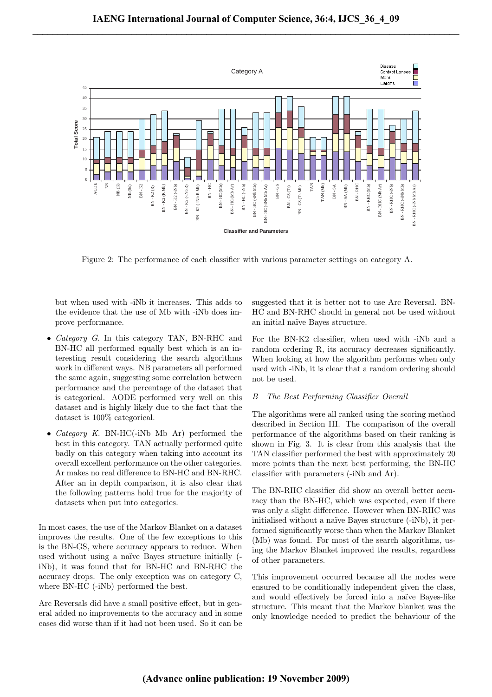

Figure 2: The performance of each classifier with various parameter settings on category A.

but when used with -iNb it increases. This adds to the evidence that the use of Mb with -iNb does improve performance.

- *Category G.* In this category TAN, BN-RHC and BN-HC all performed equally best which is an interesting result considering the search algorithms work in different ways. NB parameters all performed the same again, suggesting some correlation between performance and the percentage of the dataset that is categorical. AODE performed very well on this dataset and is highly likely due to the fact that the dataset is 100% categorical.
- *Category K.* BN-HC(-iNb Mb Ar) performed the best in this category. TAN actually performed quite badly on this category when taking into account its overall excellent performance on the other categories. Ar makes no real difference to BN-HC and BN-RHC. After an in depth comparison, it is also clear that the following patterns hold true for the majority of datasets when put into categories.

In most cases, the use of the Markov Blanket on a dataset improves the results. One of the few exceptions to this is the BN-GS, where accuracy appears to reduce. When used without using a naïve Bayes structure initially  $($ iNb), it was found that for BN-HC and BN-RHC the accuracy drops. The only exception was on category C, where BN-HC (-iNb) performed the best.

Arc Reversals did have a small positive effect, but in general added no improvements to the accuracy and in some cases did worse than if it had not been used. So it can be suggested that it is better not to use Arc Reversal. BN-HC and BN-RHC should in general not be used without an initial na¨ıve Bayes structure.

For the BN-K2 classifier, when used with -iNb and a random ordering R, its accuracy decreases significantly. When looking at how the algorithm performs when only used with -iNb, it is clear that a random ordering should not be used.

### B The Best Performing Classifier Overall

The algorithms were all ranked using the scoring method described in Section III. The comparison of the overall performance of the algorithms based on their ranking is shown in Fig. 3. It is clear from this analysis that the TAN classifier performed the best with approximately 20 more points than the next best performing, the BN-HC classifier with parameters (-iNb and Ar).

The BN-RHC classifier did show an overall better accuracy than the BN-HC, which was expected, even if there was only a slight difference. However when BN-RHC was initialised without a naïve Bayes structure (-iNb), it performed significantly worse than when the Markov Blanket (Mb) was found. For most of the search algorithms, using the Markov Blanket improved the results, regardless of other parameters.

This improvement occurred because all the nodes were ensured to be conditionally independent given the class, and would effectively be forced into a naïve Bayes-like structure. This meant that the Markov blanket was the only knowledge needed to predict the behaviour of the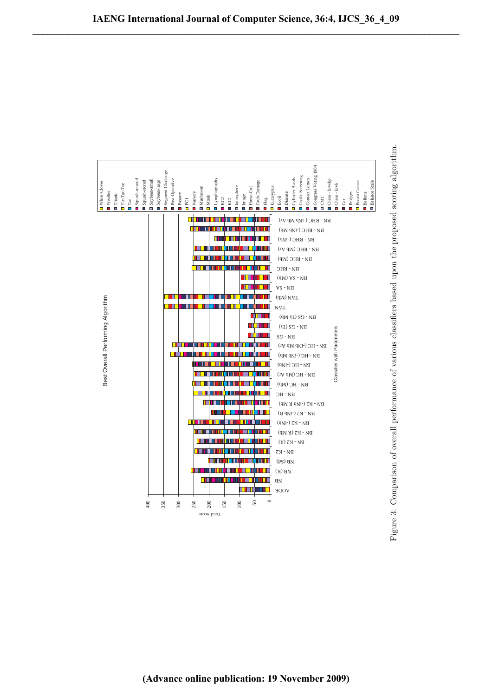

**(Advance online publication: 19 November 2009)**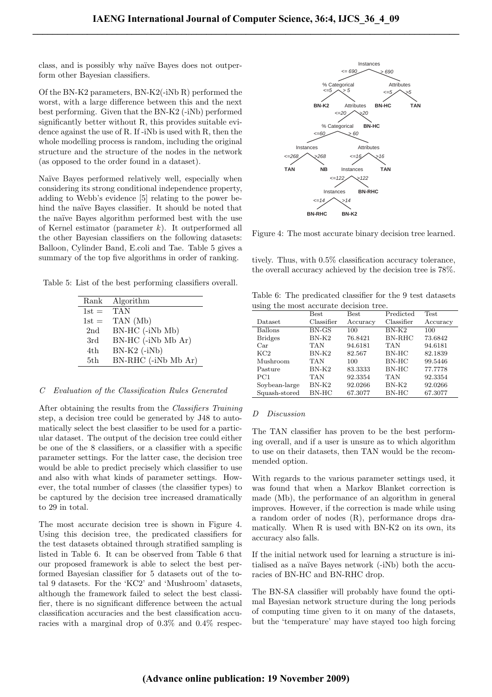class, and is possibly why naïve Bayes does not outperform other Bayesian classifiers.

Of the BN-K2 parameters, BN-K2(-iNb R) performed the worst, with a large difference between this and the next best performing. Given that the BN-K2 (-iNb) performed significantly better without R, this provides suitable evidence against the use of R. If -iNb is used with R, then the whole modelling process is random, including the original structure and the structure of the nodes in the network (as opposed to the order found in a dataset).

Naïve Bayes performed relatively well, especially when considering its strong conditional independence property, adding to Webb's evidence [5] relating to the power behind the na¨ıve Bayes classifier. It should be noted that the naïve Bayes algorithm performed best with the use of Kernel estimator (parameter  $k$ ). It outperformed all the other Bayesian classifiers on the following datasets: Balloon, Cylinder Band, E.coli and Tae. Table 5 gives a summary of the top five algorithms in order of ranking.

Table 5: List of the best performing classifiers overall.

| Rank    | Algorithm           |
|---------|---------------------|
| $1st =$ | <b>TAN</b>          |
| $1st =$ | TAN (Mb)            |
| 2nd     | BN-HC (-iNb Mb)     |
| 3rd     | BN-HC (-iNb Mb Ar)  |
| 4th     | BN-K2 $(-iNb)$      |
| 5th     | BN-RHC (-iNb Mb Ar) |

## C Evaluation of the Classification Rules Generated

After obtaining the results from the Classifiers Training step, a decision tree could be generated by J48 to automatically select the best classifier to be used for a particular dataset. The output of the decision tree could either be one of the 8 classifiers, or a classifier with a specific parameter settings. For the latter case, the decision tree would be able to predict precisely which classifier to use and also with what kinds of parameter settings. However, the total number of classes (the classifier types) to be captured by the decision tree increased dramatically to 29 in total.

The most accurate decision tree is shown in Figure 4. Using this decision tree, the predicated classifiers for the test datasets obtained through stratified sampling is listed in Table 6. It can be observed from Table 6 that our proposed framework is able to select the best performed Bayesian classifier for 5 datasets out of the total 9 datasets. For the 'KC2' and 'Mushroom' datasets, although the framework failed to select the best classifier, there is no significant difference between the actual classification accuracies and the best classification accuracies with a marginal drop of 0.3% and 0.4% respec-



Figure 4: The most accurate binary decision tree learned.

tively. Thus, with 0.5% classification accuracy tolerance, the overall accuracy achieved by the decision tree is 78%.

Table 6: The predicated classifier for the 9 test datasets using the most accurate decision tree.

| $\tilde{}$      | <b>Best</b> | <b>Best</b> | Predicted     | <b>Test</b> |
|-----------------|-------------|-------------|---------------|-------------|
| Dataset         | Classifier  | Accuracy    | Classifier    | Accuracy    |
| <b>Ballons</b>  | $BN-GS$     | 100         | $BN-K2$       | 100         |
| <b>Bridges</b>  | BN-K2       | 76.8421     | <b>BN-RHC</b> | 73.6842     |
| Car             | <b>TAN</b>  | 94.6181     | <b>TAN</b>    | 94.6181     |
| KC2             | $BN-K2$     | 82.567      | $BN-HC$       | 82.1839     |
| Mushroom        | <b>TAN</b>  | 100         | $BN-HC$       | 99.5446     |
| Pasture         | $BN-K2$     | 83.3333     | $BN-HC$       | 77.7778     |
| PC <sub>1</sub> | <b>TAN</b>  | 92.3354     | <b>TAN</b>    | 92.3354     |
| Soybean-large   | $BN-K2$     | 92.0266     | $BN-K2$       | 92.0266     |
| Squash-stored   | $BN-HC$     | 67.3077     | $BN-HC$       | 67.3077     |

#### D Discussion

The TAN classifier has proven to be the best performing overall, and if a user is unsure as to which algorithm to use on their datasets, then TAN would be the recommended option.

With regards to the various parameter settings used, it was found that when a Markov Blanket correction is made (Mb), the performance of an algorithm in general improves. However, if the correction is made while using a random order of nodes (R), performance drops dramatically. When R is used with BN-K2 on its own, its accuracy also falls.

If the initial network used for learning a structure is initialised as a naïve Bayes network (-iNb) both the accuracies of BN-HC and BN-RHC drop.

The BN-SA classifier will probably have found the optimal Bayesian network structure during the long periods of computing time given to it on many of the datasets, but the 'temperature' may have stayed too high forcing